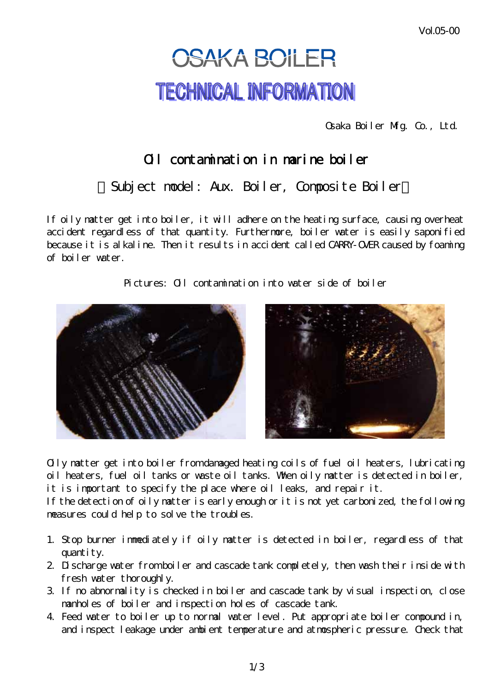Vol.05-00

## **OSAKA BOILER TECHNICAL INFORMATION**

Osaka Boiler Mfg. Co., Ltd.

## Oil contamination in marine boiler

Subject model: Aux. Boiler, Composite Boiler

If oily matter get into boiler, it will adhere on the heating surface, causing overheat accident regardless of that quantity. Furthermore, boiler water is easily saponified because it is alkaline. Then it results in accident called CARRY-OVER caused by foaming of boiler water.

Pictures: Oil contamination into water side of boiler





Oily matter get into boiler from damaged heating coils of fuel oil heaters, lubricating oil heaters, fuel oil tanks or waste oil tanks. When oily matter is detected in boiler, it is important to specify the place where oil leaks, and repair it.

If the detection of oily matter is early enough or it is not yet carbonized, the following measures could help to solve the troubles.

- 1. Stop burner immediately if oily matter is detected in boiler, regardless of that quantity.
- 2 Discharge water from boiler and cascade tank completely, then wash their inside with fresh water thoroughly.
- 3. If no abnormality is checked in boiler and cascade tank by visual inspection, close manholes of boiler and inspection holes of cascade tank.
- 4. Feed water to boiler up to normal water level. Put appropriate boiler compound in, and inspect leakage under ambient temperature and atmospheric pressure. Check that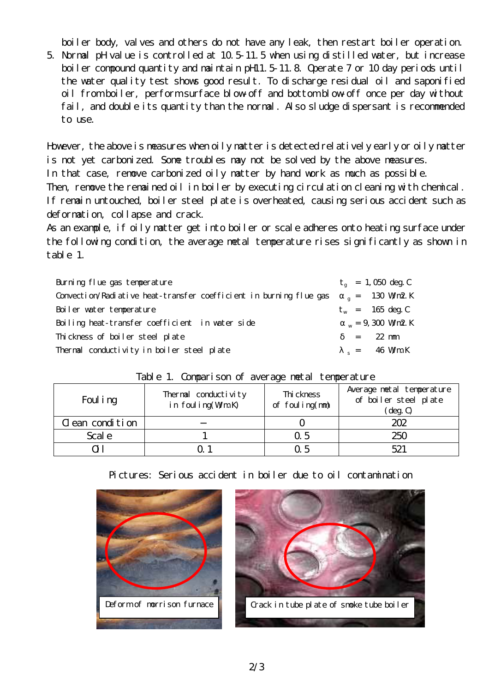boiler body, valves and others do not have any leak, then restart boiler operation.

5. Normal pH value is controlled at 10.5-11.5 when using distilled water, but increase boiler compound quantity and maintain pH11.5-11.8 Operate 7 or 10 day periods until the water quality test shows good result. To discharge residual oil and saponified oil from boiler, perform surface blow-off and bottom blow-off once per day without fail, and double its quantity than the normal. Also sludge dispersant is recommended to use.

However, the above is measures when oily matter is detected relatively early or oily matter is not yet carbonized. Some troubles may not be solved by the above measures. In that case, remove carbonized oily matter by hand work as much as possible. Then, remove the remained oil in boiler by executing circulation cleaning with chemical. If remain untouched, boiler steel plate is overheated, causing serious accident such as deformation, collapse and crack.

As an example, if oily matter get into boiler or scale adheres onto heating surface under the following condition, the average metal temperature rises significantly as shown in table 1.

| Burning flue gas temperature                                       | $t_a = 1$ , 050 deg. C            |
|--------------------------------------------------------------------|-----------------------------------|
| Convection/Radiative heat-transfer coefficient in burning flue gas | $_{\text{q}} = 130 \text{ Wm2 K}$ |
| Boiler water temperature                                           | $t_w$ = 165 deg. C                |
| Boiling heat-transfer coefficient in water side                    | $W = 9$ , 300 Wm2 K               |
| Thickness of boiler steel plate                                    | $= 22$ mm                         |
| Thermal conductivity in boiler steel plate                         | $s = 46$ WmK                      |

| $1000 - 11000$ $1000 - 1000$ $1000 - 1000$ $1000$ $1000$ $1000$ $1000$ |                                          |                               |                                                                         |
|------------------------------------------------------------------------|------------------------------------------|-------------------------------|-------------------------------------------------------------------------|
| Foul i ng                                                              | Thermal conductivity<br>in foul ing(WmK) | Thi ckness<br>of foul ing(mm) | Average netal temperature<br>of boiler steel plate<br>$(\text{deg. C})$ |
| C ean condition                                                        |                                          |                               | 202                                                                     |
| Scal e                                                                 |                                          | Q <sub>5</sub>                | 250                                                                     |
|                                                                        |                                          | Q 5                           | 521                                                                     |

## Table 1. Comparison of average metal temperature



## Pictures: Serious accident in boiler due to oil contamination